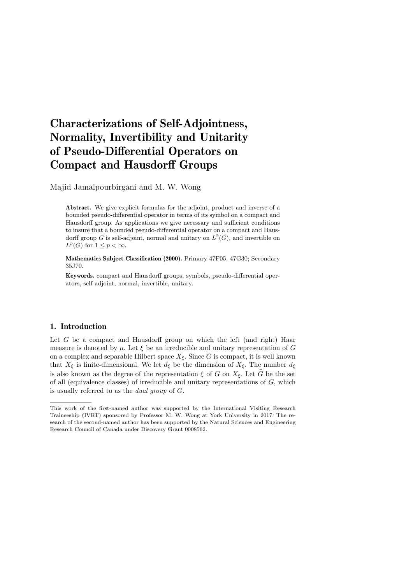# Characterizations of Self-Adjointness, Normality, Invertibility and Unitarity of Pseudo-Differential Operators on Compact and Hausdorff Groups

Majid Jamalpourbirgani and M. W. Wong

Abstract. We give explicit formulas for the adjoint, product and inverse of a bounded pseudo-differential operator in terms of its symbol on a compact and Hausdorff group. As applications we give necessary and sufficient conditions to insure that a bounded pseudo-differential operator on a compact and Hausdorff group G is self-adjoint, normal and unitary on  $L^2(G)$ , and invertible on  $L^p(G)$  for  $1 \leq p < \infty$ .

Mathematics Subject Classification (2000). Primary 47F05, 47G30; Secondary 35J70.

Keywords. compact and Hausdorff groups, symbols, pseudo-differential operators, self-adjoint, normal, invertible, unitary.

### 1. Introduction

Let G be a compact and Hausdorff group on which the left (and right) Haar measure is denoted by  $\mu$ . Let  $\xi$  be an irreducible and unitary representation of G on a complex and separable Hilbert space  $X_{\xi}$ . Since G is compact, it is well known that  $X_{\xi}$  is finite-dimensional. We let  $d_{\xi}$  be the dimension of  $X_{\xi}$ . The number  $d_{\xi}$ is also known as the degree of the representation  $\xi$  of G on  $X_{\xi}$ . Let G be the set of all (equivalence classes) of irreducible and unitary representations of G, which is usually referred to as the dual group of G.

This work of the first-named author was supported by the International Visiting Research Traineeship (IVRT) sponsored by Professor M. W. Wong at York University in 2017. The research of the second-named author has been supported by the Natural Sciences and Engineering Research Council of Canada under Discovery Grant 0008562.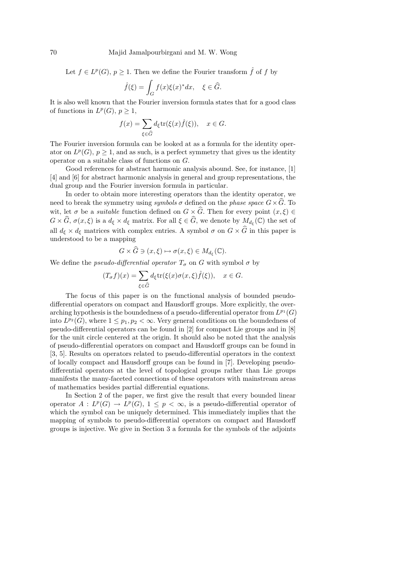Let  $f \in L^p(G)$ ,  $p \ge 1$ . Then we define the Fourier transform  $\hat{f}$  of f by

$$
\hat{f}(\xi) = \int_G f(x)\xi(x)^* dx, \quad \xi \in \widehat{G}.
$$

It is also well known that the Fourier inversion formula states that for a good class of functions in  $L^p(G)$ ,  $p \geq 1$ ,

$$
f(x) = \sum_{\xi \in \widehat{G}} d_{\xi} \text{tr}(\xi(x)\widehat{f}(\xi)), \quad x \in G.
$$

The Fourier inversion formula can be looked at as a formula for the identity operator on  $L^p(G)$ ,  $p \geq 1$ , and as such, is a perfect symmetry that gives us the identity operator on a suitable class of functions on G.

Good references for abstract harmonic analysis abound. See, for instance, [1] [4] and [6] for abstract harmonic analysis in general and group representations, the dual group and the Fourier inversion formula in particular.

In order to obtain more interesting operators than the identity operator, we need to break the symmetry using symbols  $\sigma$  defined on the phase space  $G \times \widehat{G}$ . To wit, let  $\sigma$  be a *suitable* function defined on  $G \times \widehat{G}$ . Then for every point  $(x, \xi) \in$  $G \times \widehat{G}$ ,  $\sigma(x,\xi)$  is a  $d_{\xi} \times d_{\xi}$  matrix. For all  $\xi \in \widehat{G}$ , we denote by  $M_{d_{\xi}}(\mathbb{C})$  the set of all  $d_{\xi} \times d_{\xi}$  matrices with complex entries. A symbol  $\sigma$  on  $G \times \widehat{G}$  in this paper is understood to be a mapping

$$
G \times \widehat{G} \ni (x,\xi) \mapsto \sigma(x,\xi) \in M_{d_{\xi}}(\mathbb{C}).
$$

We define the *pseudo-differential operator*  $T_{\sigma}$  on G with symbol  $\sigma$  by

$$
(T_{\sigma}f)(x) = \sum_{\xi \in \widehat{G}} d_{\xi} \text{tr}(\xi(x)\sigma(x,\xi)\widehat{f}(\xi)), \quad x \in G.
$$

The focus of this paper is on the functional analysis of bounded pseudodifferential operators on compact and Hausdorff groups. More explicitly, the overarching hypothesis is the boundedness of a pseudo-differential operator from  $L^{p_1}(G)$ into  $L^{p_2}(G)$ , where  $1 \leq p_1, p_2 < \infty$ . Very general conditions on the boundedness of pseudo-differential operators can be found in [2] for compact Lie groups and in [8] for the unit circle centered at the origin. It should also be noted that the analysis of pseudo-differential operators on compact and Hausdorff groups can be found in [3, 5]. Results on operators related to pseudo-differential operators in the context of locally compact and Hausdorff groups can be found in [7]. Developing pseudodifferential operators at the level of topological groups rather than Lie groups manifests the many-faceted connections of these operators with mainstream areas of mathematics besides partial differential equations.

In Section 2 of the paper, we first give the result that every bounded linear operator  $A: L^p(G) \to L^p(G)$ ,  $1 \leq p < \infty$ , is a pseudo-differential operator of which the symbol can be uniquely determined. This immediately implies that the mapping of symbols to pseudo-differential operators on compact and Hausdorff groups is injective. We give in Section 3 a formula for the symbols of the adjoints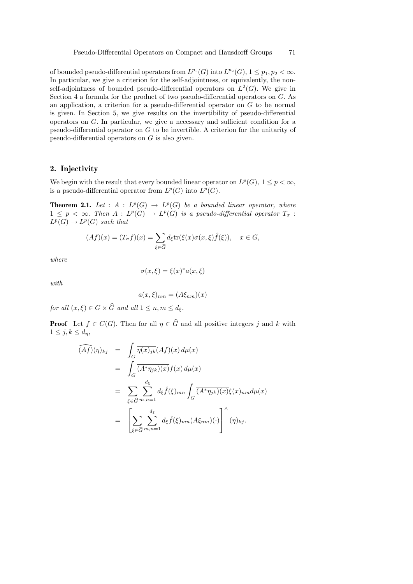of bounded pseudo-differential operators from  $L^{p_1}(G)$  into  $L^{p_2}(G)$ ,  $1 \leq p_1, p_2 < \infty$ . In particular, we give a criterion for the self-adjointness, or equivalently, the nonself-adjointness of bounded pseudo-differential operators on  $L^2(G)$ . We give in Section 4 a formula for the product of two pseudo-differential operators on G. As an application, a criterion for a pseudo-differential operator on  $G$  to be normal is given. In Section 5, we give results on the invertibility of pseudo-differential operators on G. In particular, we give a necessary and sufficient condition for a pseudo-differential operator on G to be invertible. A criterion for the unitarity of pseudo-differential operators on G is also given.

## 2. Injectivity

We begin with the result that every bounded linear operator on  $L^p(G)$ ,  $1 \leq p < \infty$ , is a pseudo-differential operator from  $L^p(G)$  into  $L^p(G)$ .

**Theorem 2.1.** Let :  $A : L^p(G) \to L^p(G)$  be a bounded linear operator, where  $1 \leq p \lt \infty$ . Then  $A: L^p(G) \to L^p(G)$  is a pseudo-differential operator  $T_{\sigma}$ :  $L^p(G) \to L^p(G)$  such that

$$
(Af)(x) = (T_{\sigma}f)(x) = \sum_{\xi \in \widehat{G}} d_{\xi} \text{tr}(\xi(x)\sigma(x,\xi)\widehat{f}(\xi)), \quad x \in G,
$$

where

$$
\sigma(x,\xi) = \xi(x)^* a(x,\xi)
$$

with

$$
a(x,\xi)_{nm} = (A\xi_{nm})(x)
$$

for all  $(x, \xi) \in G \times \widehat{G}$  and all  $1 \leq n, m \leq d_{\xi}$ .

**Proof** Let  $f \in C(G)$ . Then for all  $\eta \in \widehat{G}$  and all positive integers j and k with  $1 \leq j, k \leq d_n$ 

$$
\widehat{(Af)}(\eta)_{kj} = \int_G \overline{\eta(x)_{jk}}(Af)(x) d\mu(x)
$$
  
\n
$$
= \int_G \overline{(A^*\eta_{jk})(x)} f(x) d\mu(x)
$$
  
\n
$$
= \sum_{\xi \in \widehat{G}} \sum_{m,n=1}^{d_{\xi}} d_{\xi} \widehat{f}(\xi)_{mn} \int_G \overline{(A^*\eta_{jk})(x)} \xi(x)_{nm} d\mu(x)
$$
  
\n
$$
= \left[ \sum_{\xi \in \widehat{G}} \sum_{m,n=1}^{d_{\xi}} d_{\xi} \widehat{f}(\xi)_{mn} (A\xi_{nm})(\cdot) \right]^{\wedge} (\eta)_{kj}.
$$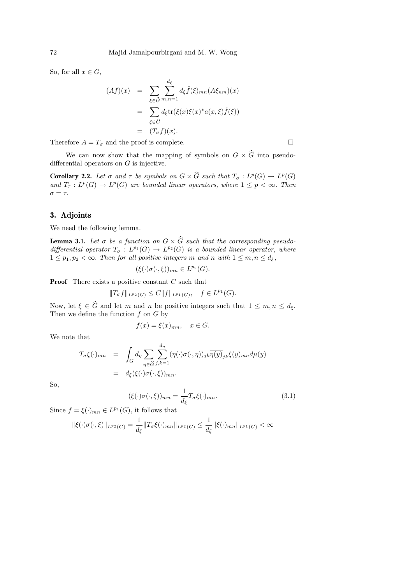So, for all  $x \in G$ ,

$$
(Af)(x) = \sum_{\xi \in \widehat{G}} \sum_{m,n=1}^{d_{\xi}} d_{\xi} \widehat{f}(\xi)_{mn}(A\xi_{nm})(x)
$$
  

$$
= \sum_{\xi \in \widehat{G}} d_{\xi} \text{tr}(\xi(x)\xi(x)^* a(x,\xi)\widehat{f}(\xi))
$$
  

$$
= (T_{\sigma}f)(x).
$$

Therefore  $A = T_{\sigma}$  and the proof is complete.

We can now show that the mapping of symbols on  $G \times \widehat{G}$  into pseudodifferential operators on G is injective.

**Corollary 2.2.** Let  $\sigma$  and  $\tau$  be symbols on  $G \times \widehat{G}$  such that  $T_{\sigma} : L^p(G) \to L^p(G)$ and  $T_{\tau}: L^p(G) \to L^p(G)$  are bounded linear operators, where  $1 \leq p < \infty$ . Then  $\sigma = \tau$ .

## 3. Adjoints

We need the following lemma.

**Lemma 3.1.** Let  $\sigma$  be a function on  $G \times \widehat{G}$  such that the corresponding pseudodifferential operator  $T_{\sigma}: L^{p_1}(G) \to L^{p_2}(G)$  is a bounded linear operator, where  $1 \leq p_1, p_2 < \infty$ . Then for all positive integers m and n with  $1 \leq m, n \leq d_{\xi}$ ,

$$
(\xi(\cdot)\sigma(\cdot,\xi))_{mn} \in L^{p_2}(G).
$$

**Proof** There exists a positive constant C such that

$$
||T_{\sigma}f||_{L^{p_2}(G)} \leq C||f||_{L^{p_1}(G)}, \quad f \in L^{p_1}(G).
$$

Now, let  $\xi \in \widehat{G}$  and let m and n be positive integers such that  $1 \leq m, n \leq d_{\xi}$ . Then we define the function  $f$  on  $G$  by

$$
f(x) = \xi(x)_{mn}, \quad x \in G.
$$

We note that

$$
T_{\sigma}\xi(\cdot)_{mn} = \int_{G} d_{\eta} \sum_{\eta \in \widehat{G}} \sum_{j,k=1}^{d_{\eta}} (\eta(\cdot)\sigma(\cdot,\eta))_{jk} \overline{\eta(y)}_{jk}\xi(y)_{mn} d\mu(y)
$$
  
=  $d_{\xi}(\xi(\cdot)\sigma(\cdot,\xi))_{mn}.$ 

So,

$$
(\xi(\cdot)\sigma(\cdot,\xi))_{mn} = \frac{1}{d_{\xi}}T_{\sigma}\xi(\cdot)_{mn}.
$$
\n(3.1)

Since  $f = \xi(\cdot)_{mn} \in L^{p_1}(G)$ , it follows that

$$
\|\xi(\cdot)\sigma(\cdot,\xi)\|_{L^{p_2}(G)} = \frac{1}{d_{\xi}}\|T_{\sigma}\xi(\cdot)_{mn}\|_{L^{p_2}(G)} \le \frac{1}{d_{\xi}}\|\xi(\cdot)_{mn}\|_{L^{p_1}(G)} < \infty
$$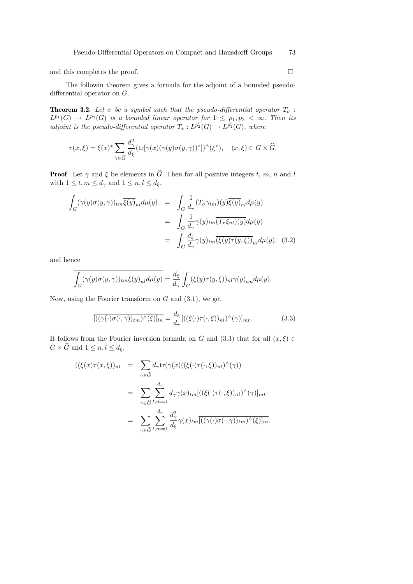and this completes the proof.  $\hfill \square$ 

The followin theorem gives a formula for the adjoint of a bounded pseudodifferential operator on G.

**Theorem 3.2.** Let  $\sigma$  be a symbol such that the pseudo-differential operator  $T_{\sigma}$ :  $L^{p_1}(G) \to L^{p_2}(G)$  is a bounded linear operator for  $1 \leq p_1, p_2 < \infty$ . Then its adjoint is the pseudo-differential operator  $T_{\tau}: L^{p'_2}(G) \to L^{p'_1}(G)$ , where

$$
\tau(x,\xi) = \xi(x)^* \sum_{\gamma \in \widehat{G}} \frac{d_\gamma^2}{d_\xi} (\text{tr}[\gamma(x)(\gamma(y)\sigma(y,\gamma))^*])^\wedge(\xi^*), \quad (x,\xi) \in G \times \widehat{G}.
$$

**Proof** Let  $\gamma$  and  $\xi$  be elements in  $\widehat{G}$ . Then for all positive integers t, m, n and l with  $1 \leq t, m \leq d_{\gamma}$  and  $1 \leq n, l \leq d_{\xi}$ ,

$$
\int_{G} (\gamma(y)\sigma(y,\gamma))_{tm}\overline{\xi(y)}_{nl}d\mu(y) = \int_{G} \frac{1}{d_{\gamma}} (T_{\sigma}\gamma_{tm})(y)\overline{\xi(y)}_{nl}d\mu(y)
$$

$$
= \int_{G} \frac{1}{d_{\gamma}} \gamma(y)_{tm}\overline{(T_{\tau}\xi_{nl})(y)}d\mu(y)
$$

$$
= \int_{G} \frac{d_{\xi}}{d_{\gamma}} \gamma(y)_{tm}\overline{(\xi(y)\tau(y,\xi))}_{nl}d\mu(y), \quad (3.2)
$$

and hence

$$
\overline{\int_G (\gamma(y)\sigma(y,\gamma))_{tm}\overline{\xi(y)}_{nl}d\mu(y)} = \frac{d_{\xi}}{d_{\gamma}}\int_G (\xi(y)\tau(y,\xi))_{nl}\overline{\gamma(y)}_{tm}d\mu(y).
$$

Now, using the Fourier transform on  $G$  and  $(3.1)$ , we get

$$
\overline{\left[ ((\gamma(\cdot)\sigma(\cdot,\gamma))_{tm})^{\hat{}}(\xi)\right]_{ln}} = \frac{d_{\xi}}{d_{\gamma}} \left[ ((\xi(\cdot)\tau(\cdot,\xi))_{nl})^{\hat{}}(\gamma)\right]_{mt}.
$$
\n(3.3)

It follows from the Fourier inversion formula on G and (3.3) that for all  $(x,\xi) \in$  $G \times \widehat{G}$  and  $1 \leq n, l \leq d_{\xi}$ ,

$$
((\xi(x)\tau(x,\xi))_{nl} = \sum_{\gamma \in \widehat{G}} d_{\gamma} \text{tr}(\gamma(x)((\xi(\cdot)\tau(\cdot,\xi))_{nl})^{\wedge}(\gamma))
$$
  

$$
= \sum_{\gamma \in \widehat{G}} \sum_{t,m=1}^{d_{\gamma}} d_{\gamma} \gamma(x)_{tm} [((\xi(\cdot)\tau(\cdot,\xi))_{nl})^{\wedge}(\gamma)]_{mt}
$$
  

$$
= \sum_{\gamma \in \widehat{G}} \sum_{t,m=1}^{d_{\gamma}} \frac{d_{\gamma}^{2}}{d_{\xi}} \gamma(x)_{tm} [((\gamma(\cdot)\sigma(\cdot,\gamma))_{tm})^{\wedge}(\xi)]_{ln}.
$$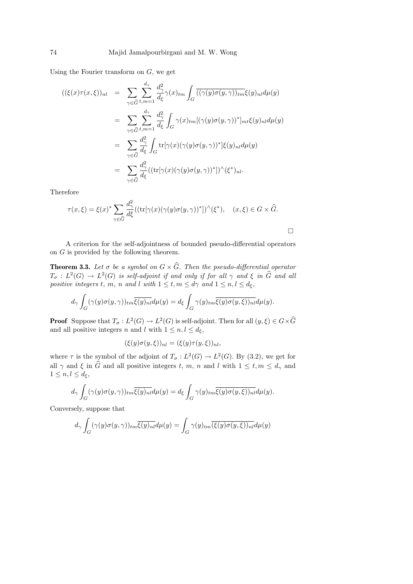Using the Fourier transform on  $G$ , we get

$$
\begin{array}{rcl} ((\xi(x)\tau(x,\xi))_{nl} & = & \displaystyle \sum_{\gamma \in \widehat{G}} \sum_{t,m=1}^{d_{\gamma}} \frac{d_{\gamma}^{2}}{d_{\xi}} \gamma(x)_{tm} \int_{G} \overline{((\gamma(y)\sigma(y,\gamma))_{tm}} \xi(y)_{nl} d\mu(y) \\ \\ & = & \displaystyle \sum_{\gamma \in \widehat{G}} \sum_{t,m=1}^{d_{\gamma}} \frac{d_{\gamma}^{2}}{d_{\xi}} \int_{G} \gamma(x)_{tm} [(\gamma(y)\sigma(y,\gamma))^{*}]_{mt} \xi(y)_{nl} d\mu(y) \\ \\ & = & \displaystyle \sum_{\gamma \in \widehat{G}} \frac{d_{\gamma}^{2}}{d_{\xi}} \int_{G} \text{tr}[\gamma(x)(\gamma(y)\sigma(y,\gamma))^{*}] \xi(y)_{nl} d\mu(y) \\ \\ & = & \displaystyle \sum_{\gamma \in \widehat{G}} \frac{d_{\gamma}^{2}}{d_{\xi}} \big( (\text{tr}[\gamma(x)(\gamma(y)\sigma(y,\gamma))^{*}])^{\wedge} (\xi^{*})_{nl}. \end{array}
$$

Therefore

$$
\tau(x,\xi) = \xi(x)^* \sum_{\gamma \in \widehat{G}} \frac{d_{\gamma}^2}{d\xi} ((\text{tr}[\gamma(x)(\gamma(y)\sigma(y,\gamma))^*])^{\wedge}(\xi^*), \quad (x,\xi) \in G \times \widehat{G}.
$$

 $\Box$ 

A criterion for the self-adjointness of bounded pseudo-differential operators on  $G$  is provided by the following theorem.

**Theorem 3.3.** Let  $\sigma$  be a symbol on  $G \times \widehat{G}$ . Then the pseudo-differential operator  $T_{\sigma}: L^2(G) \to L^2(G)$  is self-adjoint if and only if for all  $\gamma$  and  $\xi$  in  $\widehat{G}$  and all positive integers t, m, n and l with  $1 \leq t, m \leq d\gamma$  and  $1 \leq n, l \leq d_{\xi}$ ,

$$
d_{\gamma} \int_{G} (\gamma(y)\sigma(y,\gamma))_{tm} \overline{\xi(y)_{nl}} d\mu(y) = d_{\xi} \int_{G} \gamma(y)_{tm} \overline{\xi(y)\sigma(y,\xi))_{nl}} d\mu(y).
$$

**Proof** Suppose that  $T_{\sigma}: L^2(G) \to L^2(G)$  is self-adjoint. Then for all  $(y, \xi) \in G \times \widehat{G}$ and all positive integers n and l with  $1 \leq n, l \leq d_{\xi}$ ,

$$
(\xi(y)\sigma(y,\xi))_{nl} = (\xi(y)\tau(y,\xi))_{nl},
$$

where  $\tau$  is the symbol of the adjoint of  $T_{\sigma}: L^2(G) \to L^2(G)$ . By (3.2), we get for all  $\gamma$  and  $\xi$  in  $\hat{G}$  and all positive integers t, m, n and l with  $1 \leq t, m \leq d_{\gamma}$  and  $1 \leq n, l \leq d_{\xi},$ 

$$
d_{\gamma} \int_{G} (\gamma(y)\sigma(y,\gamma))_{tm} \overline{\xi(y)_{nl}} d\mu(y) = d_{\xi} \int_{G} \gamma(y)_{tm} \overline{\xi(y)\sigma(y,\xi))_{nl}} d\mu(y).
$$

Conversely, suppose that

$$
d_{\gamma} \int_{G} (\gamma(y)\sigma(y,\gamma))_{tm} \overline{\xi(y)_{nl}} d\mu(y) = \int_{G} \gamma(y)_{tm} \overline{(\xi(y)\sigma(y,\xi))_{nl}} d\mu(y)
$$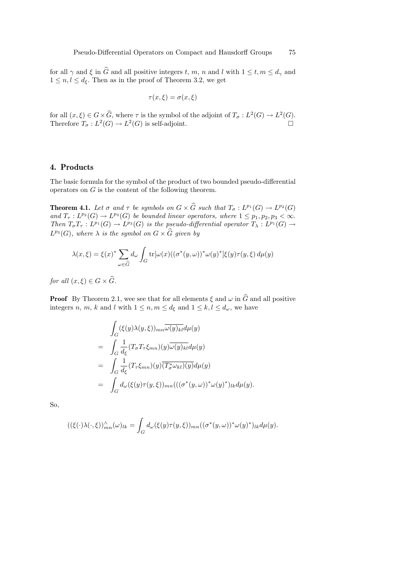for all  $\gamma$  and  $\xi$  in  $\widehat{G}$  and all positive integers t, m, n and l with  $1 \leq t, m \leq d_{\gamma}$  and  $1 \leq n, l \leq d_{\xi}$ . Then as in the proof of Theorem 3.2, we get

$$
\tau(x,\xi) = \sigma(x,\xi)
$$

for all  $(x,\xi) \in G \times \widehat{G}$ , where  $\tau$  is the symbol of the adjoint of  $T_{\sigma}: L^2(G) \to L^2(G)$ . Therefore  $T_{\sigma}: L^2(G) \to L^2(G)$  is self-adjoint.

#### 4. Products

The basic formula for the symbol of the product of two bounded pseudo-differential operators on  $G$  is the content of the following theorem.

**Theorem 4.1.** Let  $\sigma$  and  $\tau$  be symbols on  $G \times \widehat{G}$  such that  $T_{\sigma} : L^{p_1}(G) \to L^{p_2}(G)$ and  $T_{\tau}: L^{p_2}(G) \to L^{p_3}(G)$  be bounded linear operators, where  $1 \leq p_1, p_2, p_3 < \infty$ . Then  $T_{\sigma}T_{\tau}: L^{p_1}(G) \to L^{p_3}(G)$  is the pseudo-differential operator  $T_{\lambda}: L^{p_1}(G) \to L^{p_2}(G)$  $L^{p_3}(G)$ , where  $\lambda$  is the symbol on  $G \times \widehat{G}$  given by

$$
\lambda(x,\xi) = \xi(x)^* \sum_{\omega \in \widehat{G}} d_{\omega} \int_G \text{tr}[\omega(x) ((\sigma^*(y,\omega))^* \omega(y)^*] \xi(y) \tau(y,\xi) d\mu(y)
$$

for all  $(x,\xi) \in G \times \widehat{G}$ .

**Proof** By Theorem 2.1, wee see that for all elements  $\xi$  and  $\omega$  in  $\widehat{G}$  and all positive integers n, m, k and l with  $1 \leq n, m \leq d_{\xi}$  and  $1 \leq k, l \leq d_{\omega}$ , we have

$$
\int_{G} (\xi(y)\lambda(y,\xi))_{mn}\overline{\omega(y)_{kl}}d\mu(y)
$$
\n
$$
= \int_{G} \frac{1}{d_{\xi}} (T_{\sigma}T_{\tau}\xi_{mn})(y)\overline{\omega(y)_{kl}}d\mu(y)
$$
\n
$$
= \int_{G} \frac{1}{d_{\xi}} (T_{\tau}\xi_{mn})(y)\overline{(T_{\sigma}^{*}\omega_{kl})(y)}d\mu(y)
$$
\n
$$
= \int_{G} d_{\omega}(\xi(y)\tau(y,\xi))_{mn}(((\sigma^{*}(y,\omega))^{*}\omega(y)^{*})_{lk}d\mu(y).
$$

So,

$$
((\xi(\cdot)\lambda(\cdot,\xi))_{mn}^{\wedge}(\omega)_{lk} = \int_G d_{\omega}(\xi(y)\tau(y,\xi))_{mn}((\sigma^*(y,\omega))^*\omega(y)^*)_{lk}d\mu(y).
$$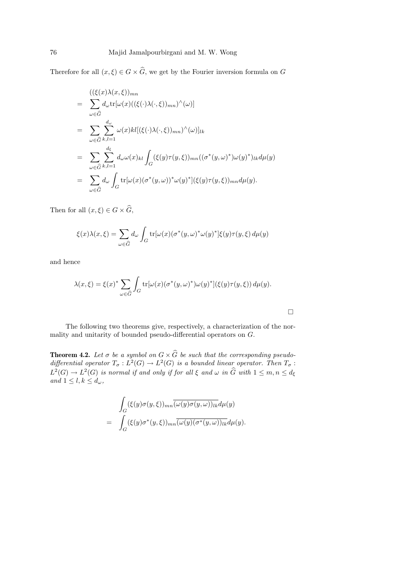Therefore for all  $(x, \xi) \in G \times \widehat{G}$ , we get by the Fourier inversion formula on G

$$
\begin{split}\n&= \sum_{\omega \in \widehat{G}} \left( (\xi(x)\lambda(x,\xi))_{mn} \right. \\
&= \sum_{\omega \in \widehat{G}} d_{\omega} \text{tr}[\omega(x) ((\xi(\cdot)\lambda(\cdot,\xi))_{mn})^{\wedge}(\omega)] \\
&= \sum_{\omega \in \widehat{G}} \sum_{k,l=1}^{d_{\omega}} \omega(x) k l [(\xi(\cdot)\lambda(\cdot,\xi))_{mn})^{\wedge}(\omega)]_{lk} \\
&= \sum_{\omega \in \widehat{G}} \sum_{k,l=1}^{d_{\xi}} d_{\omega} \omega(x)_{kl} \int_{G} (\xi(y)\tau(y,\xi))_{mn} ((\sigma^*(y,\omega)^*)\omega(y)^*)_{lk} d\mu(y) \\
&= \sum_{\omega \in \widehat{G}} d_{\omega} \int_{G} \text{tr}[\omega(x) (\sigma^*(y,\omega))^* \omega(y)^*] (\xi(y)\tau(y,\xi))_{mn} d\mu(y).\n\end{split}
$$

Then for all  $(x, \xi) \in G \times \widehat{G}$ ,

$$
\xi(x)\lambda(x,\xi) = \sum_{\omega \in \widehat{G}} d_{\omega} \int_G \text{tr}[\omega(x)(\sigma^*(y,\omega)^* \omega(y)^*]\xi(y)\tau(y,\xi) d\mu(y)
$$

and hence

$$
\lambda(x,\xi) = \xi(x)^* \sum_{\omega \in \widehat{G}} \int_G \text{tr}[\omega(x)(\sigma^*(y,\omega)^*) \omega(y)^*](\xi(y)\tau(y,\xi)) d\mu(y).
$$

 $\Box$ 

The following two theorems give, respectively, a characterization of the normality and unitarity of bounded pseudo-differential operators on G.

**Theorem 4.2.** Let  $\sigma$  be a symbol on  $G \times G$  be such that the corresponding pseudodifferential operator  $T_{\sigma}: L^2(G) \to L^2(G)$  is a bounded linear operator. Then  $T_{\sigma}$ :  $L^2(G) \to L^2(G)$  is normal if and only if for all  $\xi$  and  $\omega$  in  $\widehat{G}$  with  $1 \leq m, n \leq d_{\xi}$ and  $1 \leq l, k \leq d_{\omega}$ ,

$$
\int_G (\xi(y)\sigma(y,\xi))_{mn} \overline{(\omega(y)\sigma(y,\omega))_{lk}} d\mu(y)
$$
\n
$$
= \int_G (\xi(y)\sigma^*(y,\xi))_{mn} \overline{(\omega(y)(\sigma^*(y,\omega))_{lk}} d\mu(y).
$$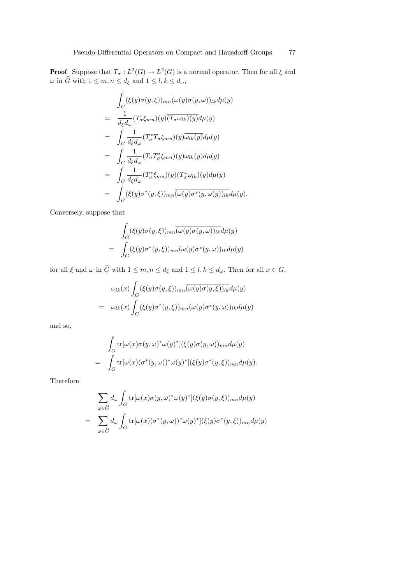**Proof** Suppose that  $T_{\sigma}: L^2(G) \to L^2(G)$  is a normal operator. Then for all  $\xi$  and  $\omega$  in  $\widehat{G}$  with  $1 \leq m, n \leq d_{\xi}$  and  $1 \leq l, k \leq d_{\omega}$ ,

$$
\int_{G} (\xi(y)\sigma(y,\xi))_{mn} \overline{(\omega(y)\sigma(y,\omega))_{lk}} d\mu(y)
$$
\n
$$
= \frac{1}{d_{\xi}d_{\omega}} (T_{\sigma}\xi_{mn})(y)\overline{(T_{\sigma}\omega_{lk})(y)} d\mu(y)
$$
\n
$$
= \int_{G} \frac{1}{d_{\xi}d_{\omega}} (T_{\sigma}^{*}T_{\sigma}\xi_{mn})(y)\overline{\omega_{lk}(y)} d\mu(y)
$$
\n
$$
= \int_{G} \frac{1}{d_{\xi}d_{\omega}} (T_{\sigma}T_{\sigma}^{*}\xi_{mn})(y)\overline{\omega_{lk}(y)} d\mu(y)
$$
\n
$$
= \int_{G} \frac{1}{d_{\xi}d_{\omega}} (T_{\sigma}^{*}\xi_{mn})(y)\overline{(T_{\sigma}^{*}\omega_{lk})(y)} d\mu(y)
$$
\n
$$
= \int_{G} (\xi(y)\sigma^{*}(y,\xi))_{mn} \overline{(\omega(y)\sigma^{*}(y,\omega(y))_{lk}} d\mu(y).
$$

Conversely, suppose that

$$
\int_{G} (\xi(y)\sigma(y,\xi))_{mn} \overline{(\omega(y)\sigma(y,\omega))_{lk}} d\mu(y)
$$
\n
$$
= \int_{G} (\xi(y)\sigma^{*}(y,\xi))_{mn} \overline{(\omega(y)\sigma^{*}(y,\omega))_{lk}} d\mu(y)
$$

for all  $\xi$  and  $\omega$  in  $\widehat{G}$  with  $1 \leq m, n \leq d_{\xi}$  and  $1 \leq l, k \leq d_{\omega}$ . Then for all  $x \in G$ ,

$$
\omega_{lk}(x) \int_G (\xi(y)\sigma(y,\xi))_{mn} \overline{(\omega(y)\sigma(y,\xi))_{lk}} d\mu(y)
$$
  
= 
$$
\omega_{lk}(x) \int_G (\xi(y)\sigma^*(y,\xi))_{mn} \overline{(\omega(y)\sigma^*(y,\omega))_{lk}} d\mu(y)
$$

and so,

$$
\int_G \text{tr}[\omega(x)\sigma(y,\omega)^*\omega(y)^*](\xi(y)\sigma(y,\omega))_{mn}d\mu(y)
$$
\n
$$
= \int_G \text{tr}[\omega(x)(\sigma^*(y,\omega))^*\omega(y)^*](\xi(y)\sigma^*(y,\xi))_{mn}d\mu(y).
$$

Therefore

$$
\sum_{\omega \in \widehat{G}} d_{\omega} \int_{G} \text{tr}[\omega(x)\sigma(y,\omega)^* \omega(y)^*](\xi(y)\sigma(y,\xi))_{mn} d\mu(y)
$$
  
= 
$$
\sum_{\omega \in \widehat{G}} d_{\omega} \int_{G} \text{tr}[\omega(x)(\sigma^*(y,\omega))^* \omega(y)^*](\xi(y)\sigma^*(y,\xi))_{mn} d\mu(y)
$$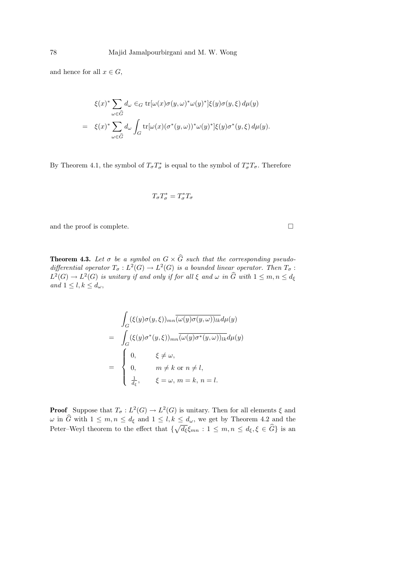and hence for all  $x \in G$ ,

$$
\xi(x)^* \sum_{\omega \in \widehat{G}} d_{\omega} \in_G \text{tr}[\omega(x)\sigma(y,\omega)^* \omega(y)^*] \xi(y)\sigma(y,\xi) d\mu(y)
$$
  
=  $\xi(x)^* \sum_{\omega \in \widehat{G}} d_{\omega} \int_G \text{tr}[\omega(x)(\sigma^*(y,\omega))^* \omega(y)^*] \xi(y)\sigma^*(y,\xi) d\mu(y).$ 

By Theorem 4.1, the symbol of  $T_{\sigma}T_{\sigma}^*$  is equal to the symbol of  $T_{\sigma}^*T_{\sigma}$ . Therefore

$$
T_\sigma T_\sigma^* = T_\sigma^* T_\sigma
$$

and the proof is complete.  $\hfill \square$ 

**Theorem 4.3.** Let  $\sigma$  be a symbol on  $G \times G$  such that the corresponding pseudodifferential operator  $T_{\sigma}: L^2(G) \to L^2(G)$  is a bounded linear operator. Then  $T_{\sigma}$ :  $L^2(G) \to L^2(G)$  is unitary if and only if for all  $\xi$  and  $\omega$  in  $\widehat{G}$  with  $1 \leq m, n \leq d_{\xi}$ and  $1 \leq l, k \leq d_{\omega}$ ,

$$
\int_{G} (\xi(y)\sigma(y,\xi))_{mn} \overline{(\omega(y)\sigma(y,\omega))_{lk}} d\mu(y)
$$
\n
$$
= \int_{G} (\xi(y)\sigma^{*}(y,\xi))_{mn} \overline{(\omega(y)\sigma^{*}(y,\omega))_{lk}} d\mu(y)
$$
\n
$$
= \begin{cases}\n0, & \xi \neq \omega, \\
0, & m \neq k \text{ or } n \neq l, \\
\frac{1}{d_{\xi}}, & \xi = \omega, m = k, n = l.\n\end{cases}
$$

**Proof** Suppose that  $T_{\sigma}: L^2(G) \to L^2(G)$  is unitary. Then for all elements  $\xi$  and  $\omega$  in G with  $1 \leq m, n \leq d_{\xi}$  and  $1 \leq l, k \leq d_{\omega}$ , we get by Theorem 4.2 and the Peter–Weyl theorem to the effect that  $\{\sqrt{d_{\xi}}\xi_{mn} : 1 \leq m, n \leq d_{\xi}, \xi \in \widehat{G}\}\$ is an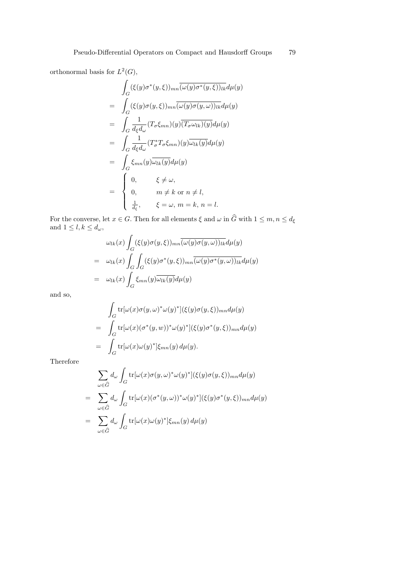orthonormal basis for  $L^2(G)$ ,

$$
\int_{G} (\xi(y)\sigma^{*}(y,\xi))_{mn} \overline{(\omega(y)\sigma^{*}(y,\xi))_{lk}} d\mu(y)
$$
\n
$$
= \int_{G} (\xi(y)\sigma(y,\xi))_{mn} \overline{(\omega(y)\sigma(y,\omega))_{lk}} d\mu(y)
$$
\n
$$
= \int_{G} \frac{1}{d_{\xi}d_{\omega}} (T_{\sigma}\xi_{mn})(y) \overline{(T_{\sigma}\omega_{lk})(y)} d\mu(y)
$$
\n
$$
= \int_{G} \frac{1}{d_{\xi}d_{\omega}} (T_{\sigma}^{*}T_{\sigma}\xi_{mn})(y) \overline{\omega_{lk}(y)} d\mu(y)
$$
\n
$$
= \int_{G} \xi_{mn}(y) \overline{\omega_{lk}(y)} d\mu(y)
$$
\n
$$
= \begin{cases}\n0, & \xi \neq \omega, \\
0, & m \neq k \text{ or } n \neq l, \\
\frac{1}{d_{\xi}}, & \xi = \omega, m = k, n = l.\n\end{cases}
$$

For the converse, let  $x \in G$ . Then for all elements  $\xi$  and  $\omega$  in G with  $1 \leq m, n \leq d_{\xi}$ and  $1 \leq l, k \leq d_{\omega}$ ,  $\overline{a}$ 

$$
\omega_{lk}(x) \int_G (\xi(y)\sigma(y,\xi))_{mn} \overline{(\omega(y)\sigma(y,\omega))_{lk}} d\mu(y)
$$
  
= 
$$
\omega_{lk}(x) \int_G \int_G (\xi(y)\sigma^*(y,\xi))_{mn} \overline{(\omega(y)\sigma^*(y,\omega))_{lk}} d\mu(y)
$$
  
= 
$$
\omega_{lk}(x) \int_G \xi_{mn}(y) \overline{\omega_{lk}(y)} d\mu(y)
$$

and so,

$$
\int_G \text{tr}[\omega(x)\sigma(y,\omega)^*\omega(y)^*](\xi(y)\sigma(y,\xi))_{mn}d\mu(y)
$$
\n
$$
= \int_G \text{tr}[\omega(x)(\sigma^*(y,w))^*\omega(y)^*](\xi(y)\sigma^*(y,\xi))_{mn}d\mu(y)
$$
\n
$$
= \int_G \text{tr}[\omega(x)\omega(y)^*]\xi_{mn}(y) d\mu(y).
$$

Therefore

$$
\sum_{\omega \in \widehat{G}} d_{\omega} \int_{G} \text{tr}[\omega(x)\sigma(y,\omega)^* \omega(y)^*](\xi(y)\sigma(y,\xi))_{mn} d\mu(y)
$$
\n
$$
= \sum_{\omega \in \widehat{G}} d_{\omega} \int_{G} \text{tr}[\omega(x)(\sigma^*(y,\omega))^* \omega(y)^*](\xi(y)\sigma^*(y,\xi))_{mn} d\mu(y)
$$
\n
$$
= \sum_{\omega \in \widehat{G}} d_{\omega} \int_{G} \text{tr}[\omega(x)\omega(y)^*]\xi_{mn}(y) d\mu(y)
$$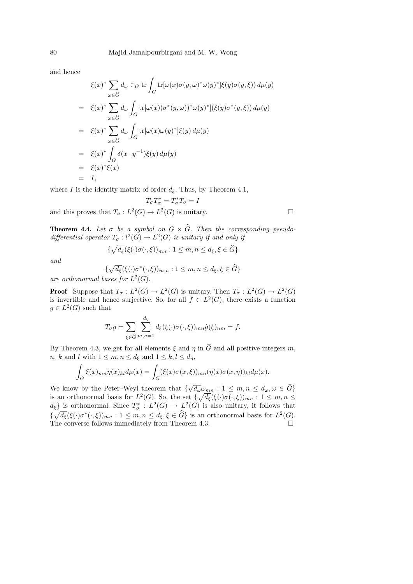and hence

$$
\xi(x)^* \sum_{\omega \in \widehat{G}} d_{\omega} \in_G \text{tr} \int_G \text{tr}[\omega(x)\sigma(y,\omega)^* \omega(y)^*]\xi(y)\sigma(y,\xi)) d\mu(y)
$$
  
\n
$$
= \xi(x)^* \sum_{\omega \in \widehat{G}} d_{\omega} \int_G \text{tr}[\omega(x)(\sigma^*(y,\omega))^* \omega(y)^*](\xi(y)\sigma^*(y,\xi)) d\mu(y)
$$
  
\n
$$
= \xi(x)^* \sum_{\omega \in \widehat{G}} d_{\omega} \int_G \text{tr}[\omega(x)\omega(y)^*]\xi(y) d\mu(y)
$$
  
\n
$$
= \xi(x)^* \int_G \delta(x \cdot y^{-1})\xi(y) d\mu(y)
$$
  
\n
$$
= \xi(x)^* \int_G \delta(x \cdot y^{-1})\xi(y) d\mu(y)
$$
  
\n
$$
= \xi(x)^* \xi(x)
$$
  
\n
$$
= I,
$$

where I is the identity matrix of order  $d_{\xi}$ . Thus, by Theorem 4.1,

$$
T_{\sigma}T_{\sigma}^*=T_{\sigma}^*T_{\sigma}=I
$$

and this proves that  $T_{\sigma}: L^2(G) \to L^2(G)$  is unitary.

**Theorem 4.4.** Let  $\sigma$  be a symbol on  $G \times \widehat{G}$ . Then the corresponding pseudodifferential operator  $T_{\sigma}: l^2(G) \to L^2(G)$  is unitary if and only if

$$
\{\sqrt{d_{\xi}}(\xi(\cdot)\sigma(\cdot,\xi))_{mn}:1\leq m,n\leq d_{\xi},\xi\in\widehat{G}\}\
$$

and

$$
\{\sqrt{d_{\xi}}(\xi(\cdot)\sigma^*(\cdot,\xi))_{m,n} : 1 \leq m, n \leq d_{\xi}, \xi \in \widehat{G}\}
$$

are orthonormal bases for  $L^2(G)$ .

**Proof** Suppose that  $T_{\sigma}: L^2(G) \to L^2(G)$  is unitary. Then  $T_{\sigma}: L^2(G) \to L^2(G)$ is invertible and hence surjective. So, for all  $f \in L^2(G)$ , there exists a function  $g \in L^2(G)$  such that

$$
T_{\sigma}g = \sum_{\xi \in \widehat{G}} \sum_{m,n=1}^{d_{\xi}} d_{\xi}(\xi(\cdot)\sigma(\cdot,\xi))_{mn}\hat{g}(\xi)_{nm} = f.
$$

By Theorem 4.3, we get for all elements  $\xi$  and  $\eta$  in  $\hat{G}$  and all positive integers m, n, k and l with  $1 \leq m, n \leq d_{\xi}$  and  $1 \leq k, l \leq d_{\eta}$ ,

$$
\int_G \xi(x)_{mn} \overline{\eta(x)_{kl}} d\mu(x) = \int_G (\xi(x)\sigma(x,\xi))_{mn} \overline{(\eta(x)\sigma(x,\eta))_{kl}} d\mu(x).
$$

We know by the Peter–Weyl theorem that  $\{\sqrt{d_{\omega}}\omega_{mn} : 1 \leq m, n \leq d_{\omega}, \omega \in \widehat{G}\}\$ is an orthonormal basis for  $L^2(G)$ . So, the set  $\{\sqrt{d_{\xi}}(\xi(\cdot)\sigma(\cdot,\xi))_{mn}:1\leq m,n\leq n\}$  $d_{\xi}$  is orthonormal. Since  $T^*_{\sigma} : L^2(G) \to L^2(G)$  is also unitary, it follows that  $\{\sqrt{d_{\xi}}(\xi(\cdot)\sigma^*(\cdot,\xi))_{mn}: 1 \leq m,n \leq d_{\xi}, \xi \in \widehat{G}\}\$ is an orthonormal basis for  $L^2(G)$ . The converse follows immediately from Theorem 4.3.  $\Box$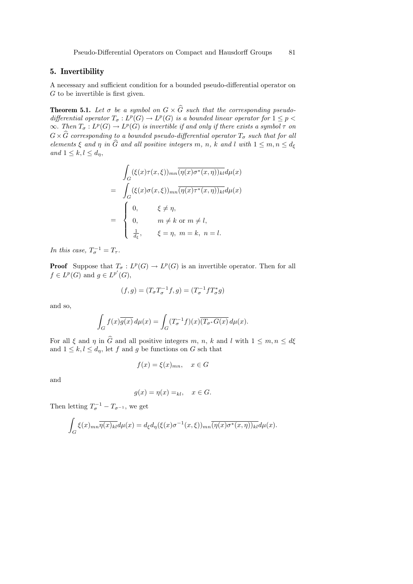# 5. Invertibility

A necessary and sufficient condition for a bounded pseudo-differential operator on G to be invertible is first given.

**Theorem 5.1.** Let  $\sigma$  be a symbol on  $G \times \widehat{G}$  such that the corresponding pseudodifferential operator  $T_{\sigma}: L^p(G) \to L^p(G)$  is a bounded linear operator for  $1 \leq p$  $\infty$ . Then  $T_{\sigma}: L^p(G) \to L^p(G)$  is invertible if and only if there exists a symbol  $\tau$  on  $G\times\widehat{G}$  corresponding to a bounded pseudo-differential operator  $T_{\sigma}$  such that for all elements  $\xi$  and  $\eta$  in  $\widehat{G}$  and all positive integers m, n, k and l with  $1 \leq m, n \leq d_{\xi}$ and  $1 \leq k, l \leq d_{\eta}$ ,

$$
\int_{G} (\xi(x)\tau(x,\xi))_{mn} \overline{(\eta(x)\sigma^{*}(x,\eta))_{kl}} d\mu(x)
$$
\n
$$
= \int_{G} (\xi(x)\sigma(x,\xi))_{mn} \overline{(\eta(x)\tau^{*}(x,\eta))_{kl}} d\mu(x)
$$
\n
$$
= \begin{cases}\n0, & \xi \neq \eta, \\
0, & m \neq k \text{ or } m \neq l, \\
\frac{1}{d_{\xi}}, & \xi = \eta, m = k, n = l.\n\end{cases}
$$

In this case,  $T_{\sigma}^{-1} = T_{\tau}$ .

**Proof** Suppose that  $T_{\sigma}: L^p(G) \to L^p(G)$  is an invertible operator. Then for all  $f \in L^p(G)$  and  $g \in L^{p'}(G)$ ,

$$
(f,g) = (T_{\sigma}T_{\sigma}^{-1}f,g) = (T_{\sigma}^{-1}fT_{\sigma}^*g)
$$

and so,

$$
\int_G f(x)\overline{g(x)}\,d\mu(x) = \int_G (T_{\sigma}^{-1}f)(x)\overline{(T_{\sigma^*}G(x)}\,d\mu(x).
$$

For all  $\xi$  and  $\eta$  in  $\widehat{G}$  and all positive integers m, n, k and l with  $1 \leq m, n \leq d\xi$ and  $1 \leq k, l \leq d_{\eta}$ , let f and g be functions on G sch that

$$
f(x) = \xi(x)_{mn}, \quad x \in G
$$

and

$$
g(x) = \eta(x) =_{kl}, \quad x \in G.
$$

Then letting  $T_{\sigma}^{-1} - T_{\sigma^{-1}}$ , we get

$$
\int_G \xi(x)_{mn} \overline{\eta(x)_{kl}} d\mu(x) = d_{\xi} d_{\eta}(\xi(x)\sigma^{-1}(x,\xi))_{mn} \overline{(\eta(x)\sigma^*(x,\eta))_{kl}} d\mu(x).
$$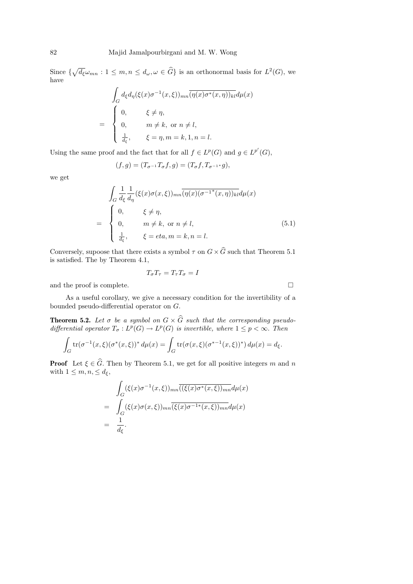Since  $\{\sqrt{d_{\xi}}\omega_{mn}: 1 \leq m, n \leq d_{\omega}, \omega \in \widehat{G}\}\$ is an orthonormal basis for  $L^2(G)$ , we have

$$
\int_{G} d_{\xi} d_{\eta}(\xi(x)\sigma^{-1}(x,\xi))_{mn} \overline{(\eta(x)\sigma^{*}(x,\eta))_{kl}} d\mu(x)
$$
\n
$$
= \begin{cases}\n0, & \xi \neq \eta, \\
0, & m \neq k, \text{ or } n \neq l, \\
\frac{1}{d_{\xi}}, & \xi = \eta, m = k, 1, n = l.\n\end{cases}
$$

Using the same proof and the fact that for all  $f \in L^p(G)$  and  $g \in L^{p'}(G)$ ,

$$
(f,g) = (T_{\sigma^{-1}}T_{\sigma}f, g) = (T_{\sigma}f, T_{\sigma^{-1}}g),
$$

we get

$$
\int_{G} \frac{1}{d_{\xi}} \frac{1}{d_{\eta}} (\xi(x)\sigma(x,\xi))_{mn} \overline{(\eta(x)(\sigma^{-1}*(x,\eta))_{kl}} d\mu(x)
$$
\n
$$
= \begin{cases}\n0, & \xi \neq \eta, \\
0, & m \neq k, \text{ or } n \neq l, \\
\frac{1}{d_{\xi}}, & \xi = eta, m = k, n = l.\n\end{cases}
$$
\n(5.1)

Conversely, supoose that there exists a symbol  $\tau$  on  $G \times \widehat{G}$  such that Theorem 5.1 is satisfied. The by Theorem 4.1,

$$
T_{\sigma}T_{\tau}=T_{\tau}T_{\sigma}=I
$$

and the proof is complete.  $\hfill \square$ 

As a useful corollary, we give a necessary condition for the invertibility of a bounded pseudo-differential operator on G.

**Theorem 5.2.** Let  $\sigma$  be a symbol on  $G \times \widehat{G}$  such that the corresponding pseudodifferential operator  $T_{\sigma}: L^p(G) \to L^p(G)$  is invertible, where  $1 \leq p < \infty$ . Then

$$
\int_G \text{tr}(\sigma^{-1}(x,\xi)(\sigma^*(x,\xi))^* d\mu(x) = \int_G \text{tr}(\sigma(x,\xi)(\sigma^{*-1}(x,\xi))^*) d\mu(x) = d_{\xi}.
$$

**Proof** Let  $\xi \in \widehat{G}$ . Then by Theorem 5.1, we get for all positive integers m and n with  $1 \leq m, n, \leq d_{\xi}$ ,

$$
\int_{G} (\xi(x)\sigma^{-1}(x,\xi))_{mn} \overline{(\xi(x)\sigma^{*}(x,\xi))_{mn}} d\mu(x)
$$
\n
$$
= \int_{G} (\xi(x)\sigma(x,\xi))_{mn} \overline{(\xi(x)\sigma^{-1*}(x,\xi))_{mn}} d\mu(x)
$$
\n
$$
= \frac{1}{d_{\xi}}.
$$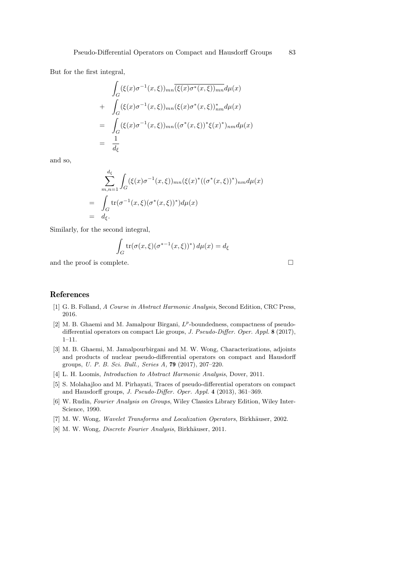But for the first integral,

$$
\int_{G} (\xi(x)\sigma^{-1}(x,\xi))_{mn} \overline{(\xi(x)\sigma^{*}(x,\xi))_{mn}} d\mu(x)
$$
\n+ 
$$
\int_{G} (\xi(x)\sigma^{-1}(x,\xi))_{mn} (\xi(x)\sigma^{*}(x,\xi))_{nm}^{*} d\mu(x)
$$
\n= 
$$
\int_{G} (\xi(x)\sigma^{-1}(x,\xi))_{mn} ((\sigma^{*}(x,\xi))^{*} \xi(x)^{*})_{nm} d\mu(x)
$$
\n= 
$$
\frac{1}{d_{\xi}}
$$

and so,

$$
\sum_{m,n=1}^{d_{\xi}} \int_{G} (\xi(x)\sigma^{-1}(x,\xi))_{mn} (\xi(x)^{*}((\sigma^{*}(x,\xi))^{*})_{nm} d\mu(x)
$$
\n
$$
= \int_{G} \text{tr}(\sigma^{-1}(x,\xi)(\sigma^{*}(x,\xi))^{*}) d\mu(x)
$$
\n
$$
= \int_{d_{\xi}} d_{\xi}.
$$

Similarly, for the second integral,

$$
\int_G \operatorname{tr}(\sigma(x,\xi)(\sigma^{*-1}(x,\xi))^*) \, d\mu(x) = d_{\xi}
$$

and the proof is complete.  $\Box$ 

=

 $=$ 

# References

- [1] G. B. Folland, A Course in Abstract Harmonic Analysis, Second Edition, CRC Press, 2016.
- [2] M. B. Ghaemi and M. Jamalpour Birgani,  $L^p$ -boundedness, compactness of pseudodifferential operators on compact Lie groups, J. Pseudo-Differ. Oper. Appl. 8 (2017), 1–11.
- [3] M. B. Ghaemi, M. Jamalpourbirgani and M. W. Wong, Characterizations, adjoints and products of nuclear pseudo-differential operators on compact and Hausdorff groups, U. P. B. Sci. Bull., Series A, 79 (2017), 207–220.
- [4] L. H. Loomis, Introduction to Abstract Harmonic Analysis, Dover, 2011.
- [5] S. Molahajloo and M. Pirhayati, Traces of pseudo-differential operators on compact and Hausdorff groups, J. Pseudo-Differ. Oper. Appl. 4 (2013), 361–369.
- [6] W. Rudin, Fourier Analysis on Groups, Wiley Classics Library Edition, Wiley Inter-Science, 1990.
- [7] M. W. Wong, Wavelet Transforms and Localization Operators, Birkhäuser, 2002.
- [8] M. W. Wong, *Discrete Fourier Analysis*, Birkhäuser, 2011.